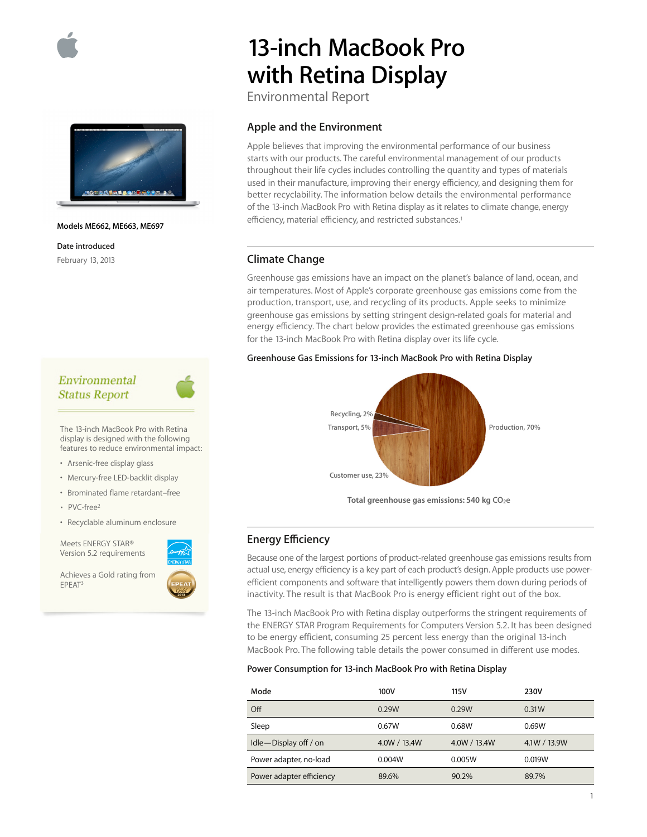



### **Models ME662, ME663, ME697**

**Date introduced** February 13, 2013

# Environmental **Status Report**

The 13-inch MacBook Pro with Retina display is designed with the following features to reduce environmental impact:

- Arsenic-free display glass
- Mercury-free LED-backlit display
- Brominated flame retardant–free
- PVC-free2
- Recyclable aluminum enclosure

Meets ENERGY STAR® Version 5.2 requirements

Achieves a Gold rating from EPEAT3



# **13-inch MacBook Pro with Retina Display**

Environmental Report

## **Apple and the Environment**

Apple believes that improving the environmental performance of our business starts with our products. The careful environmental management of our products throughout their life cycles includes controlling the quantity and types of materials used in their manufacture, improving their energy efficiency, and designing them for better recyclability. The information below details the environmental performance of the 13-inch MacBook Pro with Retina display as it relates to climate change, energy efficiency, material efficiency, and restricted substances.<sup>1</sup>

# **Climate Change**

Greenhouse gas emissions have an impact on the planet's balance of land, ocean, and air temperatures. Most of Apple's corporate greenhouse gas emissions come from the production, transport, use, and recycling of its products. Apple seeks to minimize greenhouse gas emissions by setting stringent design-related goals for material and energy efficiency. The chart below provides the estimated greenhouse gas emissions for the 13-inch MacBook Pro with Retina display over its life cycle.

## **Greenhouse Gas Emissions for 13-inch MacBook Pro with Retina Display**



Total greenhouse gas emissions: 540 kg CO<sub>2</sub>e

# **Energy Efficiency**

Because one of the largest portions of product-related greenhouse gas emissions results from actual use, energy efficiency is a key part of each product's design. Apple products use powerefficient components and software that intelligently powers them down during periods of inactivity. The result is that MacBook Pro is energy efficient right out of the box.

The 13-inch MacBook Pro with Retina display outperforms the stringent requirements of the ENERGY STAR Program Requirements for Computers Version 5.2. It has been designed to be energy efficient, consuming 25 percent less energy than the original 13-inch MacBook Pro. The following table details the power consumed in different use modes.

## **Power Consumption for 13-inch MacBook Pro with Retina Display**

| Mode                     | 100V         | 115V         | 230V         |
|--------------------------|--------------|--------------|--------------|
| Off                      | 0.29W        | 0.29W        | 0.31W        |
| Sleep                    | 0.67W        | 0.68W        | 0.69W        |
| Idle-Display off / on    | 4.0W / 13.4W | 4.0W / 13.4W | 4.1W / 13.9W |
| Power adapter, no-load   | 0.004W       | 0.005W       | 0.019W       |
| Power adapter efficiency | 89.6%        | 90.2%        | 89.7%        |

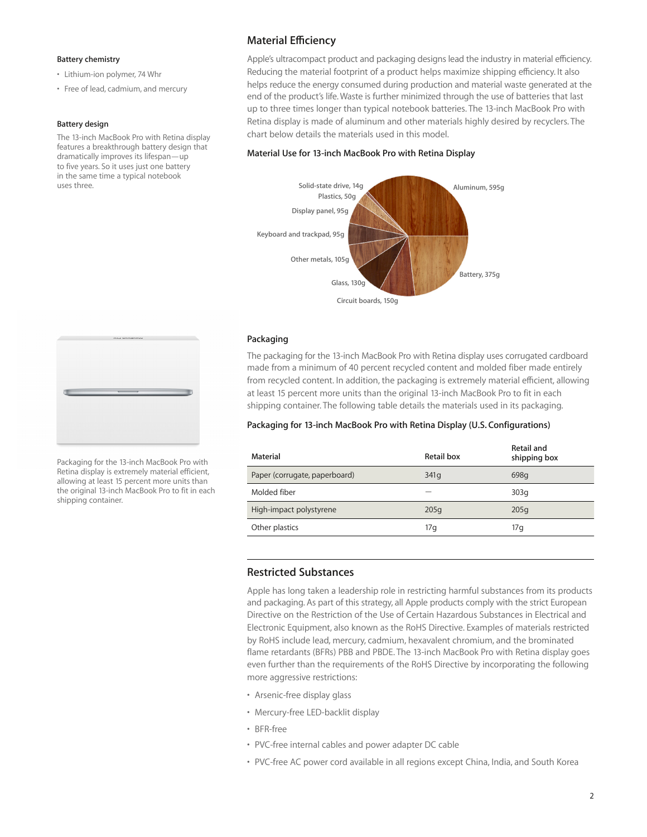## **Battery chemistry**

- Lithium-ion polymer, 74 Whr
- Free of lead, cadmium, and mercury

#### **Battery design**

The 13-inch MacBook Pro with Retina display features a breakthrough battery design that dramatically improves its lifespan—up to five years. So it uses just one battery in the same time a typical notebook uses three.

# **Material Efficiency**

Apple's ultracompact product and packaging designs lead the industry in material efficiency. Reducing the material footprint of a product helps maximize shipping efficiency. It also helps reduce the energy consumed during production and material waste generated at the end of the product's life. Waste is further minimized through the use of batteries that last up to three times longer than typical notebook batteries. The 13-inch MacBook Pro with Retina display is made of aluminum and other materials highly desired by recyclers. The chart below details the materials used in this model.

## **Material Use for 13-inch MacBook Pro with Retina Display**



## **Packaging**

The packaging for the 13-inch MacBook Pro with Retina display uses corrugated cardboard made from a minimum of 40 percent recycled content and molded fiber made entirely from recycled content. In addition, the packaging is extremely material efficient, allowing at least 15 percent more units than the original 13-inch MacBook Pro to fit in each shipping container. The following table details the materials used in its packaging.

## **Packaging for 13-inch MacBook Pro with Retina Display (U.S. Configurations)**

| Material                      | Retail box | Retail and<br>shipping box |
|-------------------------------|------------|----------------------------|
| Paper (corrugate, paperboard) | 341q       | 698q                       |
| Molded fiber                  |            | 303q                       |
| High-impact polystyrene       | 205q       | 205q                       |
| Other plastics                | 17g        | 17 q                       |

## **Restricted Substances**

Apple has long taken a leadership role in restricting harmful substances from its products and packaging. As part of this strategy, all Apple products comply with the strict European Directive on the Restriction of the Use of Certain Hazardous Substances in Electrical and Electronic Equipment, also known as the RoHS Directive. Examples of materials restricted by RoHS include lead, mercury, cadmium, hexavalent chromium, and the brominated flame retardants (BFRs) PBB and PBDE. The 13-inch MacBook Pro with Retina display goes even further than the requirements of the RoHS Directive by incorporating the following more aggressive restrictions:

- Arsenic-free display glass
- Mercury-free LED-backlit display
- BFR-free
- PVC-free internal cables and power adapter DC cable
- PVC-free AC power cord available in all regions except China, India, and South Korea



Packaging for the 13-inch MacBook Pro with Retina display is extremely material efficient, allowing at least 15 percent more units than the original 13-inch MacBook Pro to fit in each shipping container.